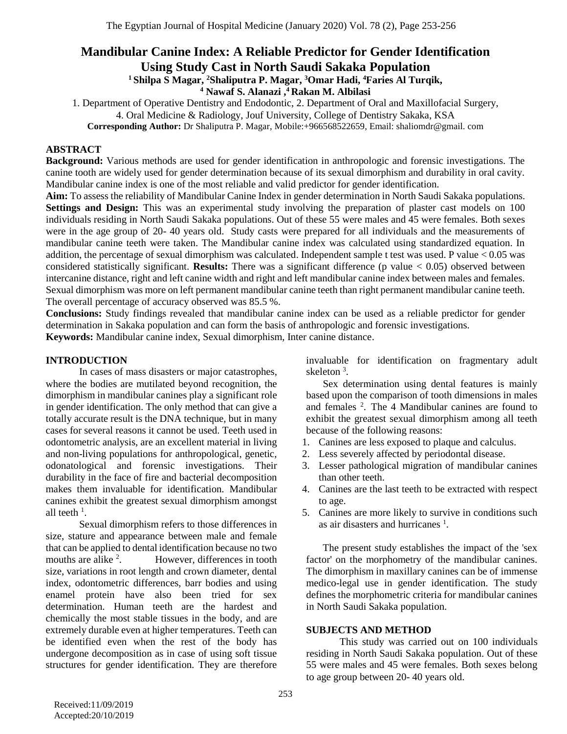# **Mandibular Canine Index: A Reliable Predictor for Gender Identification**

**Using Study Cast in North Saudi Sakaka Population**

**<sup>1</sup>Shilpa S Magar, <sup>2</sup>Shaliputra P. Magar, <sup>3</sup>Omar Hadi, <sup>4</sup>Faries Al Turqik,**

**<sup>4</sup> Nawaf S. Alanazi , <sup>4</sup> Rakan M. Albilasi**

1. Department of Operative Dentistry and Endodontic, 2. Department of Oral and Maxillofacial Surgery,

4. Oral Medicine & Radiology, Jouf University, College of Dentistry Sakaka, KSA

**Corresponding Author:** Dr Shaliputra P. Magar, Mobile:+966568522659, Email: shaliomdr@gmail. com

## **ABSTRACT**

**Background:** Various methods are used for gender identification in anthropologic and forensic investigations. The canine tooth are widely used for gender determination because of its sexual dimorphism and durability in oral cavity. Mandibular canine index is one of the most reliable and valid predictor for gender identification.

**Aim:** To assess the reliability of Mandibular Canine Index in gender determination in North Saudi Sakaka populations. **Settings and Design:** This was an experimental study involving the preparation of plaster cast models on 100 individuals residing in North Saudi Sakaka populations. Out of these 55 were males and 45 were females. Both sexes were in the age group of 20- 40 years old. Study casts were prepared for all individuals and the measurements of mandibular canine teeth were taken. The Mandibular canine index was calculated using standardized equation. In addition, the percentage of sexual dimorphism was calculated. Independent sample t test was used. P value < 0.05 was considered statistically significant. **Results:** There was a significant difference (p value < 0.05) observed between intercanine distance, right and left canine width and right and left mandibular canine index between males and females. Sexual dimorphism was more on left permanent mandibular canine teeth than right permanent mandibular canine teeth. The overall percentage of accuracy observed was 85.5 %.

**Conclusions:** Study findings revealed that mandibular canine index can be used as a reliable predictor for gender determination in Sakaka population and can form the basis of anthropologic and forensic investigations.

**Keywords:** Mandibular canine index, Sexual dimorphism, Inter canine distance.

# **INTRODUCTION**

In cases of mass disasters or major catastrophes, where the bodies are mutilated beyond recognition, the dimorphism in mandibular canines play a significant role in gender identification. The only method that can give a totally accurate result is the DNA technique, but in many cases for several reasons it cannot be used. Teeth used in odontometric analysis, are an excellent material in living and non-living populations for anthropological, genetic, odonatological and forensic investigations. Their durability in the face of fire and bacterial decomposition makes them invaluable for identification. Mandibular canines exhibit the greatest sexual dimorphism amongst all teeth  $<sup>1</sup>$ .</sup>

Sexual dimorphism refers to those differences in size, stature and appearance between male and female that can be applied to dental identification because no two mouths are alike  $2$ . . However, differences in tooth size, variations in root length and crown diameter, dental index, odontometric differences, barr bodies and using enamel protein have also been tried for sex determination. Human teeth are the hardest and chemically the most stable tissues in the body, and are extremely durable even at higher temperatures. Teeth can be identified even when the rest of the body has undergone decomposition as in case of using soft tissue structures for gender identification. They are therefore invaluable for identification on fragmentary adult skeleton<sup>3</sup>.

Sex determination using dental features is mainly based upon the comparison of tooth dimensions in males and females <sup>2</sup>. The 4 Mandibular canines are found to exhibit the greatest sexual dimorphism among all teeth because of the following reasons:

- 1. Canines are less exposed to plaque and calculus.
- 2. Less severely affected by periodontal disease.
- 3. Lesser pathological migration of mandibular canines than other teeth.
- 4. Canines are the last teeth to be extracted with respect to age.
- 5. Canines are more likely to survive in conditions such as air disasters and hurricanes  $<sup>1</sup>$ .</sup>

The present study establishes the impact of the 'sex factor' on the morphometry of the mandibular canines. The dimorphism in maxillary canines can be of immense medico-legal use in gender identification. The study defines the morphometric criteria for mandibular canines in North Saudi Sakaka population.

## **SUBJECTS AND METHOD**

This study was carried out on 100 individuals residing in North Saudi Sakaka population. Out of these 55 were males and 45 were females. Both sexes belong to age group between 20- 40 years old.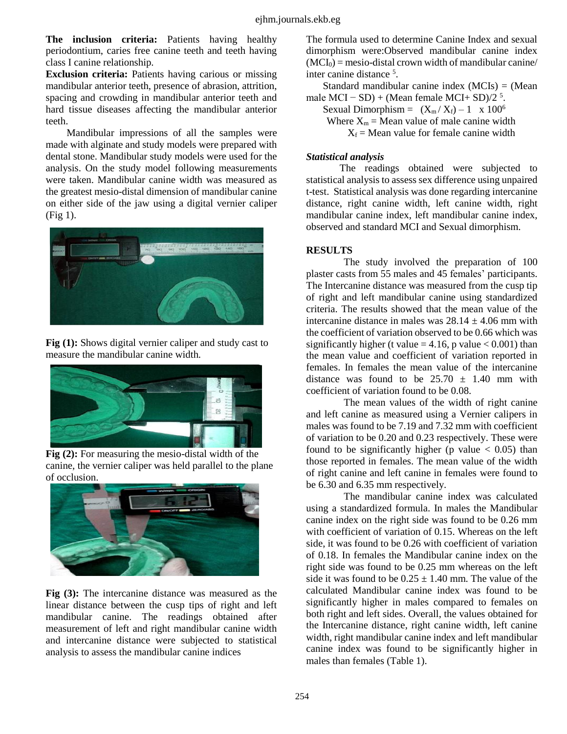**The inclusion criteria:** Patients having healthy periodontium, caries free canine teeth and teeth having class I canine relationship.

**Exclusion criteria:** Patients having carious or missing mandibular anterior teeth, presence of abrasion, attrition, spacing and crowding in mandibular anterior teeth and hard tissue diseases affecting the mandibular anterior teeth.

Mandibular impressions of all the samples were made with alginate and study models were prepared with dental stone. Mandibular study models were used for the analysis. On the study model following measurements were taken. Mandibular canine width was measured as the greatest mesio-distal dimension of mandibular canine on either side of the jaw using a digital vernier caliper (Fig 1).



**Fig (1):** Shows digital vernier caliper and study cast to measure the mandibular canine width.



**Fig (2):** For measuring the mesio-distal width of the canine, the vernier caliper was held parallel to the plane of occlusion.



**Fig (3):** The intercanine distance was measured as the linear distance between the cusp tips of right and left mandibular canine. The readings obtained after measurement of left and right mandibular canine width and intercanine distance were subjected to statistical analysis to assess the mandibular canine indices

The formula used to determine Canine Index and sexual dimorphism were:Observed mandibular canine index  $(MCI<sub>0</sub>)$  = mesio-distal crown width of mandibular canine/ inter canine distance<sup>5</sup>.

Standard mandibular canine index  $(MCIs) = (Mean)$ male  $MCI - SD$ ) + (Mean female  $MCI + SD$ )/2<sup>5</sup>.

Sexual Dimorphism =  $(X_m/X_f) - 1 \times 100^6$ 

Where  $X_m$  = Mean value of male canine width

 $X_f$  = Mean value for female canine width

#### *Statistical analysis*

The readings obtained were subjected to statistical analysis to assess sex difference using unpaired t-test. Statistical analysis was done regarding intercanine distance, right canine width, left canine width, right mandibular canine index, left mandibular canine index, observed and standard MCI and Sexual dimorphism.

### **RESULTS**

The study involved the preparation of 100 plaster casts from 55 males and 45 females' participants. The Intercanine distance was measured from the cusp tip of right and left mandibular canine using standardized criteria. The results showed that the mean value of the intercanine distance in males was  $28.14 \pm 4.06$  mm with the coefficient of variation observed to be 0.66 which was significantly higher (t value = 4.16, p value  $< 0.001$ ) than the mean value and coefficient of variation reported in females. In females the mean value of the intercanine distance was found to be  $25.70 \pm 1.40$  mm with coefficient of variation found to be 0.08.

The mean values of the width of right canine and left canine as measured using a Vernier calipers in males was found to be 7.19 and 7.32 mm with coefficient of variation to be 0.20 and 0.23 respectively. These were found to be significantly higher (p value  $< 0.05$ ) than those reported in females. The mean value of the width of right canine and left canine in females were found to be 6.30 and 6.35 mm respectively.

The mandibular canine index was calculated using a standardized formula. In males the Mandibular canine index on the right side was found to be 0.26 mm with coefficient of variation of 0.15. Whereas on the left side, it was found to be 0.26 with coefficient of variation of 0.18. In females the Mandibular canine index on the right side was found to be 0.25 mm whereas on the left side it was found to be  $0.25 \pm 1.40$  mm. The value of the calculated Mandibular canine index was found to be significantly higher in males compared to females on both right and left sides. Overall, the values obtained for the Intercanine distance, right canine width, left canine width, right mandibular canine index and left mandibular canine index was found to be significantly higher in males than females (Table 1).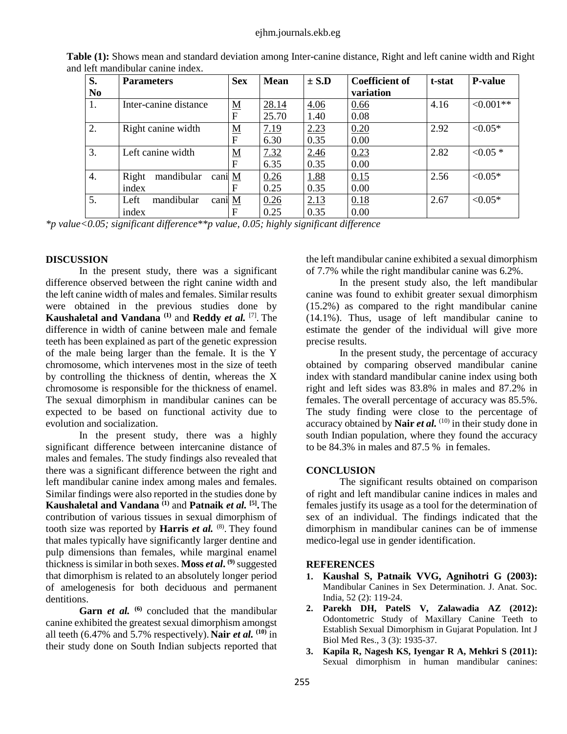| S.               | <b>Parameters</b>             | <b>Sex</b>               | <b>Mean</b> | $\pm$ S.D | <b>Coefficient of</b> | t-stat | <b>P-value</b> |
|------------------|-------------------------------|--------------------------|-------------|-----------|-----------------------|--------|----------------|
| N <sub>0</sub>   |                               |                          |             |           | variation             |        |                |
| 1.               | Inter-canine distance         | $\underline{\mathbf{M}}$ | 28.14       | 4.06      | 0.66                  | 4.16   | $<0.001**$     |
|                  |                               | F                        | 25.70       | 1.40      | 0.08                  |        |                |
| 2.               | Right canine width            | $\underline{\mathbf{M}}$ | <u>7.19</u> | 2.23      | 0.20                  | 2.92   | $< 0.05*$      |
|                  |                               | ${\rm F}$                | 6.30        | 0.35      | 0.00                  |        |                |
| 3.               | Left canine width             | $\underline{\mathbf{M}}$ | 7.32        | 2.46      | 0.23                  | 2.82   | $< 0.05$ *     |
|                  |                               | F                        | 6.35        | 0.35      | 0.00                  |        |                |
| $\overline{4}$ . | Right<br>mandibular<br>cani M |                          | 0.26        | 1.88      | 0.15                  | 2.56   | $< 0.05*$      |
|                  | index                         | F                        | 0.25        | 0.35      | 0.00                  |        |                |
| 5.               | mandibular<br>Left<br>cani M  |                          | 0.26        | 2.13      | 0.18                  | 2.67   | $< 0.05*$      |
|                  | index                         | F                        | 0.25        | 0.35      | 0.00                  |        |                |

**Table (1):** Shows mean and standard deviation among Inter-canine distance, Right and left canine width and Right and left mandibular canine index.

*\*p value<0.05; significant difference\*\*p value, 0.05; highly significant difference*

## **DISCUSSION**

In the present study, there was a significant difference observed between the right canine width and the left canine width of males and females. Similar results were obtained in the previous studies done by **Kaushaletal and Vandana (1)** and **Reddy** *et al.*  [7] . The difference in width of canine between male and female teeth has been explained as part of the genetic expression of the male being larger than the female. It is the Y chromosome, which intervenes most in the size of teeth by controlling the thickness of dentin, whereas the X chromosome is responsible for the thickness of enamel. The sexual dimorphism in mandibular canines can be expected to be based on functional activity due to evolution and socialization.

In the present study, there was a highly significant difference between intercanine distance of males and females. The study findings also revealed that there was a significant difference between the right and left mandibular canine index among males and females. Similar findings were also reported in the studies done by **Kaushaletal and Vandana (1)** and **Patnaik** *et al.*  **[5] .** The contribution of various tissues in sexual dimorphism of tooth size was reported by **Harris** *et al.* <sup>(8)</sup>. They found that males typically have significantly larger dentine and pulp dimensions than females, while marginal enamel thickness is similar in both sexes. **Moss** *et al***. (9)**suggested that dimorphism is related to an absolutely longer period of amelogenesis for both deciduous and permanent dentitions.

Garn *et al.* <sup>(6)</sup> concluded that the mandibular canine exhibited the greatest sexual dimorphism amongst all teeth (6.47% and 5.7% respectively). **Nair** *et al.*  $(10)$  in their study done on South Indian subjects reported that

the left mandibular canine exhibited a sexual dimorphism of 7.7% while the right mandibular canine was 6.2%.

In the present study also, the left mandibular canine was found to exhibit greater sexual dimorphism (15.2%) as compared to the right mandibular canine (14.1%). Thus, usage of left mandibular canine to estimate the gender of the individual will give more precise results.

In the present study, the percentage of accuracy obtained by comparing observed mandibular canine index with standard mandibular canine index using both right and left sides was 83.8% in males and 87.2% in females. The overall percentage of accuracy was 85.5%. The study finding were close to the percentage of accuracy obtained by **Nair** *et al.* (10) in their study done in south Indian population, where they found the accuracy to be 84.3% in males and 87.5 % in females.

#### **CONCLUSION**

The significant results obtained on comparison of right and left mandibular canine indices in males and females justify its usage as a tool for the determination of sex of an individual. The findings indicated that the dimorphism in mandibular canines can be of immense medico-legal use in gender identification.

#### **REFERENCES**

- **1. Kaushal S, Patnaik VVG, Agnihotri G (2003):**  Mandibular Canines in Sex Determination. J. Anat. Soc. India, 52 (2): 119-24.
- **2. Parekh DH, PatelS V, Zalawadia AZ (2012):**  Odontometric Study of Maxillary Canine Teeth to Establish Sexual Dimorphism in Gujarat Population. Int J Biol Med Res., 3 (3): 1935-37.
- **3. [Kapila R,](http://www.ncbi.nlm.nih.gov/pubmed/?term=Kapila%20R%5BAuthor%5D&cauthor=true&cauthor_uid=23019509) [Nagesh KS,](http://www.ncbi.nlm.nih.gov/pubmed/?term=Nagesh%20KS%5BAuthor%5D&cauthor=true&cauthor_uid=23019509) [Iyengar R A,](http://www.ncbi.nlm.nih.gov/pubmed/?term=R%20Iyengar%20A%5BAuthor%5D&cauthor=true&cauthor_uid=23019509) [Mehkri S](http://www.ncbi.nlm.nih.gov/pubmed/?term=Mehkri%20S%5BAuthor%5D&cauthor=true&cauthor_uid=23019509) (2011):**  Sexual dimorphism in human mandibular canines: